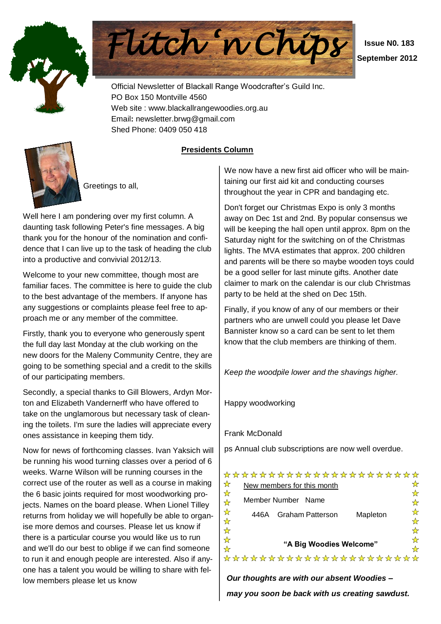



 **Issue N0. 183 September 2012**

Official Newsletter of Blackall Range Woodcrafter"s Guild Inc. PO Box 150 Montville 4560 Web site : www.blackallrangewoodies.org.au Email**:** newsletter.brwg@gmail.com Shed Phone: 0409 050 418

**Presidents Column**



Greetings to all,

Well here I am pondering over my first column. A daunting task following Peter's fine messages. A big thank you for the honour of the nomination and confidence that I can live up to the task of heading the club into a productive and convivial 2012/13.

Welcome to your new committee, though most are familiar faces. The committee is here to guide the club to the best advantage of the members. If anyone has any suggestions or complaints please feel free to approach me or any member of the committee.

Firstly, thank you to everyone who generously spent the full day last Monday at the club working on the new doors for the Maleny Community Centre, they are going to be something special and a credit to the skills of our participating members.

Secondly, a special thanks to Gill Blowers, Ardyn Morton and Elizabeth Vandernerff who have offered to take on the unglamorous but necessary task of cleaning the toilets. I'm sure the ladies will appreciate every ones assistance in keeping them tidy.

Now for news of forthcoming classes. Ivan Yaksich will be running his wood turning classes over a period of 6 weeks. Warne Wilson will be running courses in the correct use of the router as well as a course in making the 6 basic joints required for most woodworking projects. Names on the board please. When Lionel Tilley returns from holiday we will hopefully be able to organise more demos and courses. Please let us know if there is a particular course you would like us to run and we'll do our best to oblige if we can find someone to run it and enough people are interested. Also if anyone has a talent you would be willing to share with fellow members please let us know

We now have a new first aid officer who will be maintaining our first aid kit and conducting courses throughout the year in CPR and bandaging etc.

Don't forget our Christmas Expo is only 3 months away on Dec 1st and 2nd. By popular consensus we will be keeping the hall open until approx. 8pm on the Saturday night for the switching on of the Christmas lights. The MVA estimates that approx. 200 children and parents will be there so maybe wooden toys could be a good seller for last minute gifts. Another date claimer to mark on the calendar is our club Christmas party to be held at the shed on Dec 15th.

Finally, if you know of any of our members or their partners who are unwell could you please let Dave Bannister know so a card can be sent to let them know that the club members are thinking of them.

*Keep the woodpile lower and the shavings higher.*

Happy woodworking

Frank McDonald

ps Annual club subscriptions are now well overdue.

\*\*\*\*\*\*\*\*\*\*\*\*\*\*\*\*\*\*\*\*\*\*

| ₩                       | New members for this month                  |   |
|-------------------------|---------------------------------------------|---|
| $\frac{1}{\mathcal{N}}$ |                                             |   |
| ☆                       | Member Number Name                          |   |
| ☆                       | <b>Graham Patterson</b><br>Mapleton<br>446A |   |
| $\frac{1}{\mathcal{N}}$ |                                             |   |
| $\frac{1}{\mathcal{N}}$ |                                             | ☆ |
| ☆                       | "A Big Woodies Welcome"                     |   |
| ☆                       |                                             |   |
|                         | **********************                      |   |

*Our thoughts are with our absent Woodies – may you soon be back with us creating sawdust.*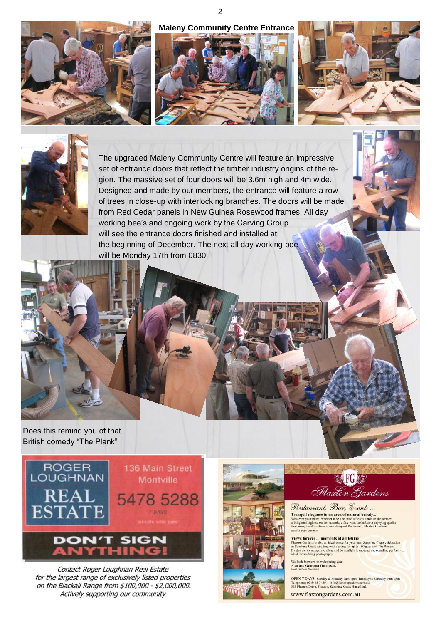







The upgraded Maleny Community Centre will feature an impressive set of entrance doors that reflect the timber industry origins of the region. The massive set of four doors will be 3.6m high and 4m wide. Designed and made by our members, the entrance will feature a row of trees in close-up with interlocking branches. The doors will be made from Red Cedar panels in New Guinea Rosewood frames. All day working bee"s and ongoing work by the Carving Group will see the entrance doors finished and installed at the beginning of December. The next all day working bee will be Monday 17th from 0830.

Does this remind you of that British comedy "The Plank"



Contact Roger Loughnan Real Estate for the largest range of exclusively listed properties on the Blackall Range from \$100,000 - \$2,000,000. Actively supporting our community





Restaurant, Bar, Events... Tranquil elegance in an area of natural beauty... **Franquil elegance in an area of natural beauty...**<br>Platever your plans, whether it be a relaxed alfreseo lunch on the terrace,<br>delightful high tea on the veranda, a fine wine in the bar or enjoying quality<br>od using local

Views forever ... moments of a lifetime<br>Flaxton Gardens is also an ideal venue for your next Sunshine Coast celebration<br>or Sunshine Coast wedding with scating for up to 160 guests in The Winery.<br>By day the views seem endle

.<br>We look forward to welcoming you!<br>Alan and Georgina Thompson.

OPEN 7 DAYS: Sunday & Monday 9am-4pm, Tuesday to Saturday 9am-9pm<br>Telephone: 07 5445 7450 | info@flaxtongardens.com.au<br>313 Flaxton Drive, Flaxton, Sunshine Coast Hinterland.

www.flaxtongardens.com.au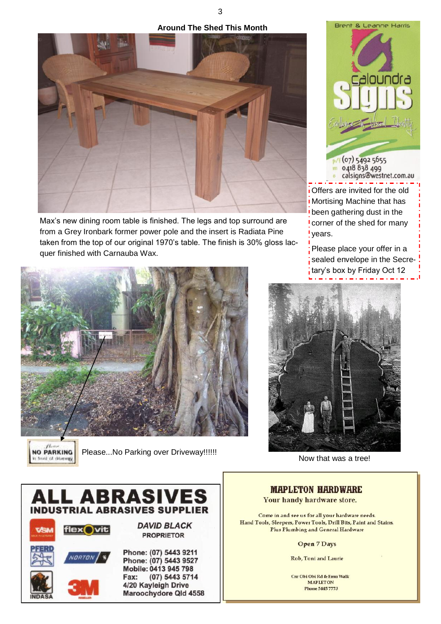**Around The Shed This Month**



Max"s new dining room table is finished. The legs and top surround are from a Grey Ironbark former power pole and the insert is Radiata Pine taken from the top of our original 1970"s table. The finish is 30% gloss lacquer finished with Carnauba Wax.



 $N_{\rm crit}$ **NO PARKING** front of driveway

Please...No Parking over Driveway!!!!!!





**Nortising Machine that has** been gathering dust in the I corner of the shed for many years.

Please place your offer in a sealed envelope in the Secreitary's box by Friday Oct 12



Now that was a tree!

# **MAPLETON HARDWARE** Your handy hardware store.

Come in and see us for all your hardware needs. Hand Tools, Sleepers, Power Tools, Drill Bits, Paint and Stains. Plus Plumbing and General Hardware

Open 7 Days

Rob, Toni and Laurie

Cnr Obi Obi Rd & Emu Walk **MAPLETON Phone 5445 7773** 

3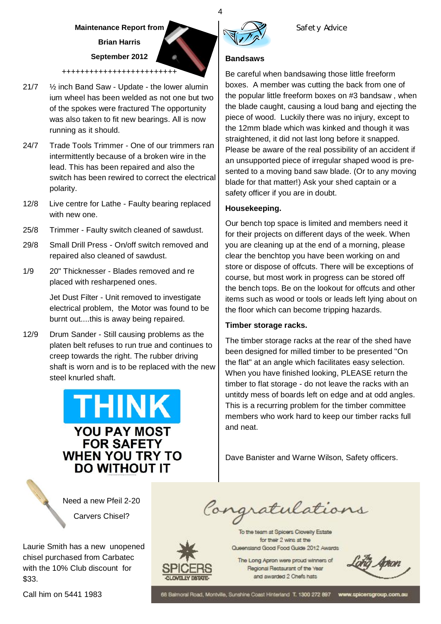# **Maintenance Report from Brian Harris September 2012**

+++++++++++++++++++++++++

- 21/7 ½ inch Band Saw Update the lower alumin ium wheel has been welded as not one but two of the spokes were fractured The opportunity was also taken to fit new bearings. All is now running as it should.
- 24/7 Trade Tools Trimmer One of our trimmers ran intermittently because of a broken wire in the lead. This has been repaired and also the switch has been rewired to correct the electrical polarity.
- 12/8 Live centre for Lathe Faulty bearing replaced with new one.
- 25/8 Trimmer Faulty switch cleaned of sawdust.
- 29/8 Small Drill Press On/off switch removed and repaired also cleaned of sawdust.
- 1/9 20" Thicknesser Blades removed and re placed with resharpened ones.

Jet Dust Filter - Unit removed to investigate electrical problem, the Motor was found to be burnt out....this is away being repaired.

12/9 Drum Sander - Still causing problems as the platen belt refuses to run true and continues to creep towards the right. The rubber driving shaft is worn and is to be replaced with the new steel knurled shaft.

# **THINK YOU PAY MOST FOR SAFETY WHEN YOU TRY TO DO WITHOUT IT**

# **Bandsaws**

Be careful when bandsawing those little freeform boxes. A member was cutting the back from one of the popular little freeform boxes on #3 bandsaw , when the blade caught, causing a loud bang and ejecting the piece of wood. Luckily there was no injury, except to the 12mm blade which was kinked and though it was straightened, it did not last long before it snapped. Please be aware of the real possibility of an accident if an unsupported piece of irregular shaped wood is presented to a moving band saw blade. (Or to any moving blade for that matter!) Ask your shed captain or a safety officer if you are in doubt.

# **Housekeeping.**

Our bench top space is limited and members need it for their projects on different days of the week. When you are cleaning up at the end of a morning, please clear the benchtop you have been working on and store or dispose of offcuts. There will be exceptions of course, but most work in progress can be stored off the bench tops. Be on the lookout for offcuts and other items such as wood or tools or leads left lying about on the floor which can become tripping hazards.

### **Timber storage racks.**

The timber storage racks at the rear of the shed have been designed for milled timber to be presented "On the flat" at an angle which facilitates easy selection. When you have finished looking, PLEASE return the timber to flat storage - do not leave the racks with an untitdy mess of boards left on edge and at odd angles. This is a recurring problem for the timber committee members who work hard to keep our timber racks full and neat.

Dave Banister and Warne Wilson, Safety officers.

 Need a new Pfeil 2-20 Carvers Chisel?

Laurie Smith has a new unopened chisel purchased from Carbatec with the 10% Club discount for \$33.

The Long Apron were proud winners of Regional Restaurant of the Year and awarded 2 Chefs hats

Congratulations

To the team at Spicers Clovelly Estate for their 2 wins at the Queensland Good Food Guide 2012 Awards

Call him on 5441 1983

68 Balmoral Road, Montville, Sunshine Coast Hinterland T. 1300 272 897 www.spicersgroup.com.au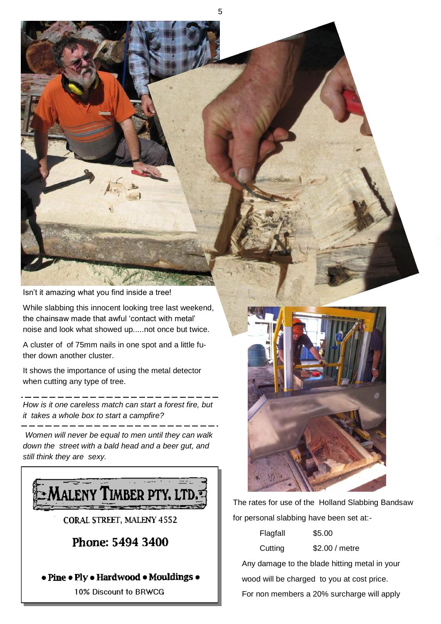Isn"t it amazing what you find inside a tree!

While slabbing this innocent looking tree last weekend, the chainsaw made that awful "contact with metal" noise and look what showed up.....not once but twice.

5

A cluster of of 75mm nails in one spot and a little futher down another cluster.

It shows the importance of using the metal detector when cutting any type of tree.

*How is it one careless match can start a forest fire, but it takes a whole box to start a campfire?*

*Women will never be equal to men until they can walk down the street with a bald head and a beer gut, and still think they are sexy.*





The rates for use of the Holland Slabbing Bandsaw for personal slabbing have been set at:-

| Flagfall                                      | \$5.00                                     |  |  |  |
|-----------------------------------------------|--------------------------------------------|--|--|--|
| Cutting                                       | \$2.00 / metre                             |  |  |  |
| Any damage to the blade hitting metal in your |                                            |  |  |  |
|                                               | wood will be charged to you at cost price. |  |  |  |
|                                               | For non members a 20% surcharge will apply |  |  |  |